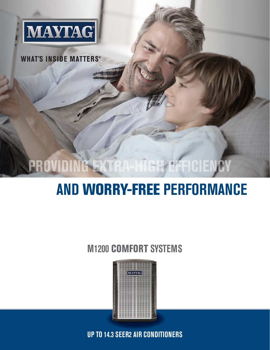

**WHAT'S INSIDE MATTERS®** 

# PROVIDING EXTRA-HIGH EFFICIENCY

# **AND WORRY-FREE PERFORMANCE**

### **M1200 COMFORT SYSTEMS**



**UP TO 14.3 SEER2 AIR CONDITIONERS**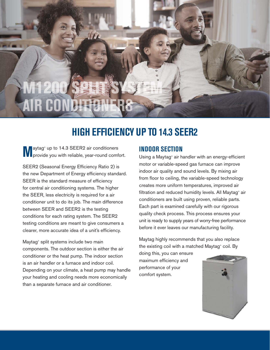$\mu$ 

## **HIGH EFFICIENCY UP TO 14.3 SEER2**

**M**aytag<sup>®</sup> up to 14.3 SEER2 air conditioners<br>provide you with reliable, year-round comfort. aytag<sup>®</sup> up to 14.3 SEER2 air conditioners

SEER2 (Seasonal Energy Efficiency Ratio 2) is the new Department of Energy efficiency standard. SEER is the standard measure of efficiency for central air conditioning systems. The higher the SEER, less electricity is required for a air conditioner unit to do its job. The main difference between SEER and SEER2 is the testing conditions for each rating system. The SEER2 testing conditions are meant to give consumers a clearer, more accurate idea of a unit's efficiency.

Maytag® split systems include two main components. The outdoor section is either the air conditioner or the heat pump. The indoor section is an air handler or a furnace and indoor coil. Depending on your climate, a heat pump may handle your heating and cooling needs more economically than a separate furnace and air conditioner.

#### **INDOOR SECTION**

Using a Maytag® air handler with an energy-efficient motor or variable-speed gas furnace can improve indoor air quality and sound levels. By mixing air from floor to ceiling, the variable-speed technology creates more uniform temperatures, improved air filtration and reduced humidity levels. All Maytag® air conditioners are built using proven, reliable parts. Each part is examined carefully with our rigorous quality check process. This process ensures your unit is ready to supply years of worry-free performance before it ever leaves our manufacturing facility.

Maytag highly recommends that you also replace the existing coil with a matched Maytag® coil. By

doing this, you can ensure maximum efficiency and performance of your comfort system.

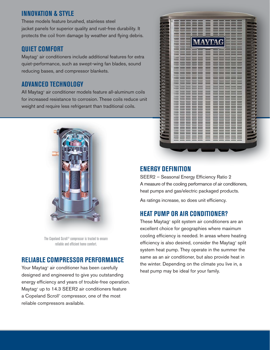#### **INNOVATION & STYLE**

These models feature brushed, stainless steel jacket panels for superior quality and rust-free durability. It protects the coil from damage by weather and flying debris.

#### **QUIET COMFORT**

Maytag® air conditioners include additional features for extra quiet-performance, such as swept-wing fan blades, sound reducing bases, and compressor blankets.

#### **ADVANCED TECHNOLOGY**

All Maytag® air conditioner models feature all-aluminum coils for increased resistance to corrosion. These coils reduce unit weight and require less refrigerant than traditional coils.



The Copeland Scroll® compressor is trusted to ensure reliable and efficient home comfort.

#### **RELIABLE COMPRESSOR PERFORMANCE**

Your Maytag® air conditioner has been carefully designed and engineered to give you outstanding energy efficiency and years of trouble-free operation. Maytag® up to 14.3 SEER2 air conditioners feature a Copeland Scroll® compressor, one of the most reliable compressors available.



#### **ENERGY DEFINITION**

SEER2 – Seasonal Energy Efficiency Ratio 2 A measure of the cooling performance of air conditioners, heat pumps and gas/electric packaged products.

As ratings increase, so does unit efficiency.

#### **HEAT PUMP OR AIR CONDITIONER?**

These Maytag® split system air conditioners are an excellent choice for geographies where maximum cooling efficiency is needed. In areas where heating efficiency is also desired, consider the Maytag® split system heat pump. They operate in the summer the same as an air conditioner, but also provide heat in the winter. Depending on the climate you live in, a heat pump may be ideal for your family.